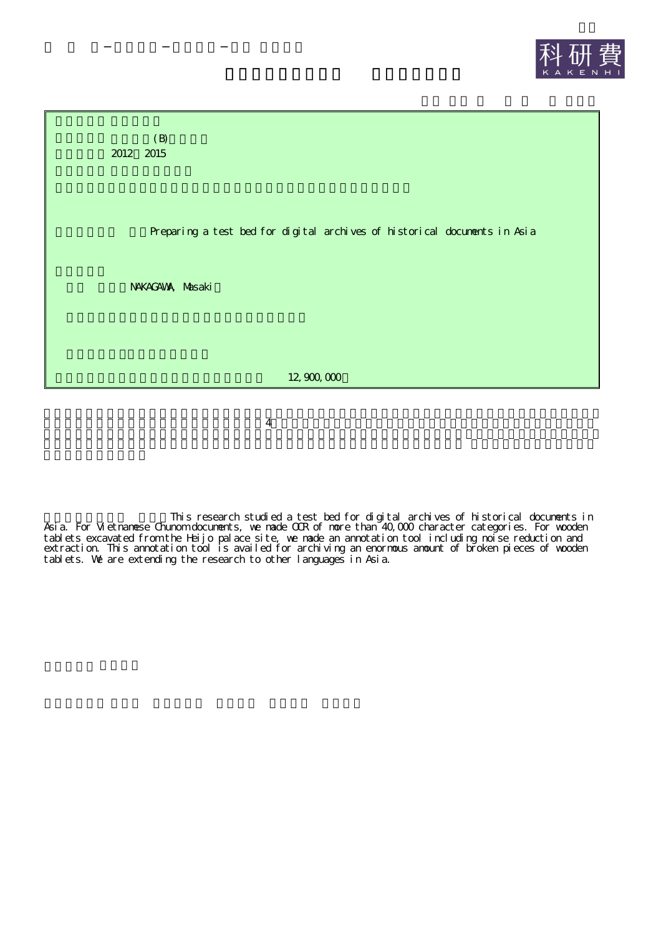



4

This research studied a test bed for digital archives of historical documents in Asia. For Vietnamese Chunom documents, we made OCR of more than 40,000 character categories. For wooden tablets excavated from the Heijo palace site, we made an annotation tool including noise reduction and extraction. This annotation tool is availed for archiving an enormous amount of broken pieces of wooden tablets. We are extending the research to other languages in Asia.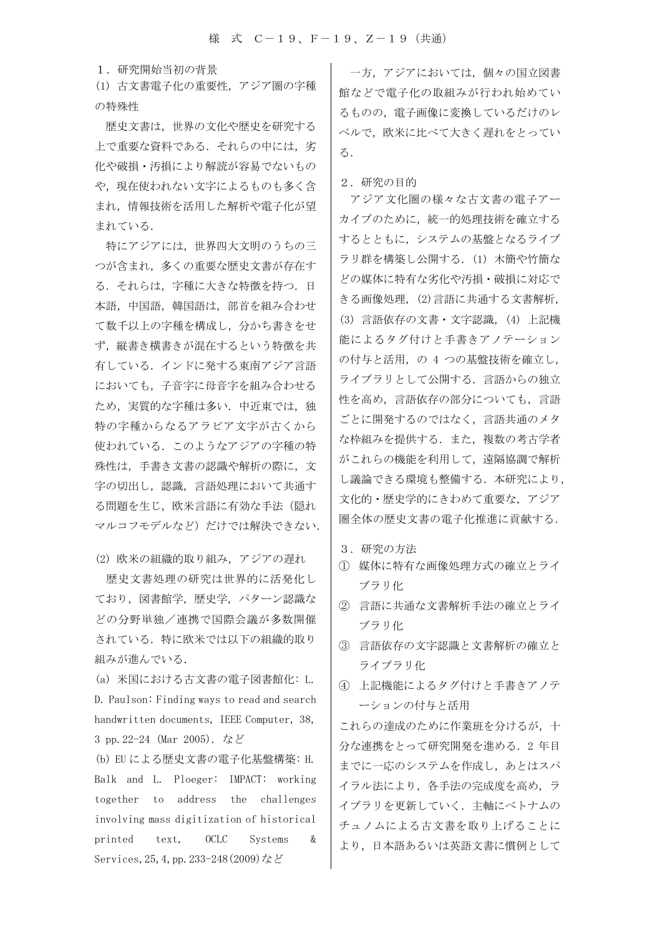1.研究開始当初の背景

(1) 古文書電子化の重要性,アジア圏の字種 の特殊性

 歴史文書は,世界の文化や歴史を研究する 上で重要な資料である. それらの中には、劣 化や破損・汚損により解読が容易でないもの や,現在使われない文字によるものも多く含 まれ,情報技術を活用した解析や電子化が望 まれている.

特にアジアには,世界四大文明のうちの三 つが含まれ,多くの重要な歴史文書が存在す る.それらは,字種に大きな特徴を持つ.日 本語,中国語,韓国語は、部首を組み合わせ て数千以上の字種を構成し,分かち書きをせ ず,縦書き横書きが混在するという特徴を共 有している.インドに発する東南アジア言語 においても,子音字に母音字を組み合わせる ため、実質的な字種は多い. 中近東では、独 特の字種からなるアラビア文字が古くから 使われている.このようなアジアの字種の特 殊性は,手書き文書の認識や解析の際に,文 字の切出し、認識、言語処理において共通す る問題を生じ、欧米言語に有効な手法(隠れ マルコフモデルなど)だけでは解決できない.

(2) 欧米の組織的取り組み,アジアの遅れ

 歴史文書処理の研究は世界的に活発化し ており,図書館学,歴史学,パターン認識な どの分野単独/連携で国際会議が多数開催 されている.特に欧米では以下の組織的取り 組みが進んでいる.

(a) 米国における古文書の電子図書館化: L. D. Paulson: Finding ways to read and search handwritten documents, IEEE Computer, 38, 3 pp.22-24 (Mar 2005). など

(b) EU による歴史文書の電子化基盤構築: H. Balk and L. Ploeger: IMPACT: working together to address the challenges involving mass digitization of historical printed text, OCLC Systems & Services,25,4,pp.233-248(2009)など

 一方,アジアにおいては,個々の国立図書 館などで電子化の取組みが行われ始めてい るものの,電子画像に変換しているだけのレ ベルで,欧米に比べて大きく遅れをとってい る.

2.研究の目的

アジア文化圏の様々な古文書の電子アー カイブのために,統一的処理技術を確立する するとともに,システムの基盤となるライブ ラリ群を構築し公開する. (1) 木簡や竹簡な どの媒体に特有な劣化や汚損・破損に対応で きる画像処理,(2)言語に共通する文書解析, (3) 言語依存の文書・文字認識,(4) 上記機 能によるタグ付けと手書きアノテーション の付与と活用,の 4 つの基盤技術を確立し, ライブラリとして公開する.言語からの独立 性を高め,言語依存の部分についても,言語 ごとに開発するのではなく,言語共通のメタ な枠組みを提供する.また,複数の考古学者 がこれらの機能を利用して,遠隔協調で解析 し議論できる環境も整備する.本研究により, 文化的・歴史学的にきわめて重要な,アジア 圏全体の歴史文書の電子化推進に貢献する.

- 3.研究の方法
- ① 媒体に特有な画像処理方式の確立とライ ブラリ化
- ② 言語に共通な文書解析手法の確立とライ ブラリ化
- ③ 言語依存の文字認識と文書解析の確立と ライブラリ化
- ④ 上記機能によるタグ付けと手書きアノテ ーションの付与と活用

これらの達成のために作業班を分けるが,十 分な連携をとって研究開発を進める.2 年目 までに一応のシステムを作成し,あとはスパ イラル法により,各手法の完成度を高め,ラ イブラリを更新していく.主軸にベトナムの チュノムによる古文書を取り上げることに より,日本語あるいは英語文書に慣例として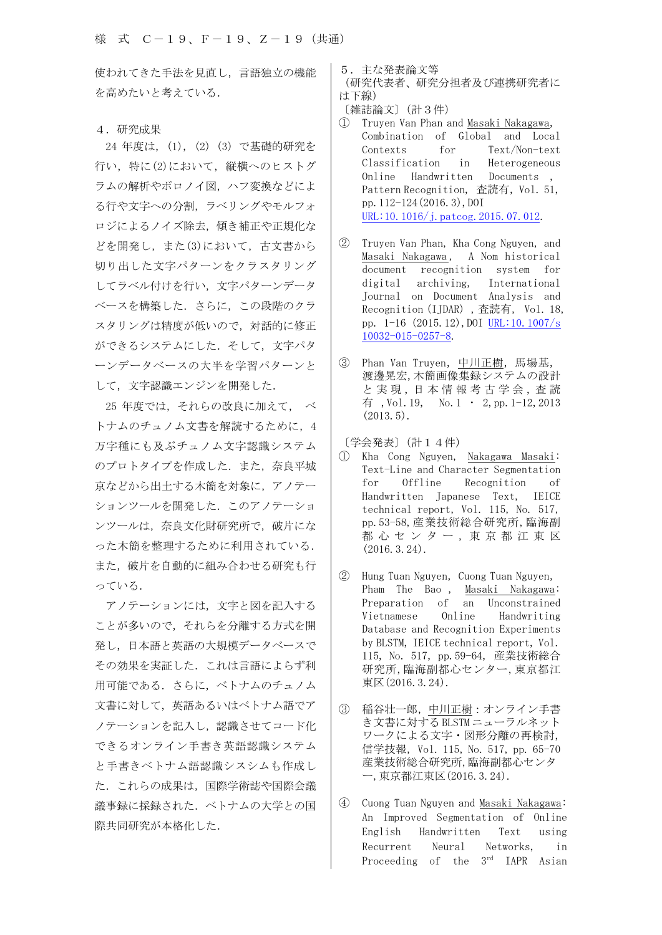使われてきた手法を見直し,言語独立の機能 を高めたいと考えている.

## 4.研究成果

24 年度は,(1), (2) (3) で基礎的研究を 行い,特に(2)において,縦横へのヒストグ ラムの解析やボロノイ図,ハフ変換などによ る行や文字への分割,ラベリングやモルフォ ロジによるノイズ除去,傾き補正や正規化な どを開発し,また(3)において,古文書から 切り出した文字パターンをクラスタリング してラベル付けを行い,文字パターンデータ ベースを構築した.さらに,この段階のクラ スタリングは精度が低いので,対話的に修正 ができるシステムにした.そして,文字パタ ーンデータベースの大半を学習パターンと して,文字認識エンジンを開発した.

25 年度では,それらの改良に加えて, ベ トナムのチュノム文書を解読するために, 4 万字種にも及ぶチュノム文字認識システム のプロトタイプを作成した.また、奈良平城 京などから出土する木簡を対象に,アノテー ションツールを開発した. このアノテーショ ンツールは,奈良文化財研究所で,破片にな った木簡を整理するために利用されている. また,破片を自動的に組み合わせる研究も行 っている.

アノテーションには,文字と図を記入する ことが多いので,それらを分離する方式を開 発し,日本語と英語の大規模データベースで その効果を実証した.これは言語によらず利 用可能である.さらに,ベトナムのチュノム 文書に対して,英語あるいはベトナム語でア ノテーションを記入し,認識させてコード化 できるオンライン手書き英語認識システム と手書きベトナム語認識シスシムも作成し た.これらの成果は,国際学術誌や国際会議 議事録に採録された.ベトナムの大学との国 際共同研究が本格化した.

- 5.主な発表論文等
- (研究代表者、研究分担者及び連携研究者に は下線)
- 〔雑誌論文〕(計3件)
- ① Truyen Van Phan and Masaki Nakagawa, Combination of Global and Local Contexts for Text/Non-text Classification in Heterogeneous Online Handwritten Documents , Pattern Recognition, 杳読有, Vol. 51, pp.112-124(2016.3),DOI URL:10.1016/j.patcog.2015.07.012.
- ② Truyen Van Phan, Kha Cong Nguyen, and Masaki Nakagawa, A Nom historical document recognition system for digital archiving, International Journal on Document Analysis and Recognition (IJDAR) ,査読有, Vol. 18, pp. 1-16 (2015.12),DOI URL:10.1007/s 10032-015-0257-8.
- ③ Phan Van Truyen,中川正樹,馬場基, 渡邊晃宏,木簡画像集録システムの設計 と実現,日本情報考古学会,査読 有, Vol. 19, No.  $1 \cdot 2$ , pp. 1-12, 2013  $(2013.5)$ .
- 〔学会発表〕(計14件)
- ① Kha Cong Nguyen, Nakagawa Masaki: Text-Line and Character Segmentation for Offline Recognition of Handwritten Japanese Text, IEICE technical report, Vol. 115, No. 517, pp.53-58,産業技術総合研究所,臨海副 都 心 セ ン タ ー , 東 京 都 江 東 区 (2016.3.24).
- ② Hung Tuan Nguyen,Cuong Tuan Nguyen, Pham The Bao , Masaki Nakagawa: Preparation of an Unconstrained Vietnamese Online Handwriting Database and Recognition Experiments by BLSTM, IEICE technical report, Vol. 115, No. 517, pp.59-64, 産業技術総合 研究所,臨海副都心センター,東京都江 東区(2016.3.24).
- ③ 稲谷壮一郎,中川正樹:オンライン手書 き文書に対する BLSTM ニューラルネット ワークによる文字・図形分離の再検討, 信学技報,Vol. 115, No. 517, pp. 65-70 産業技術総合研究所,臨海副都心センタ ー,東京都江東区(2016.3.24).
- ④ Cuong Tuan Nguyen and Masaki Nakagawa: An Improved Segmentation of Online English Handwritten Text using Recurrent Neural Networks, in Proceeding of the 3<sup>rd</sup> IAPR Asian